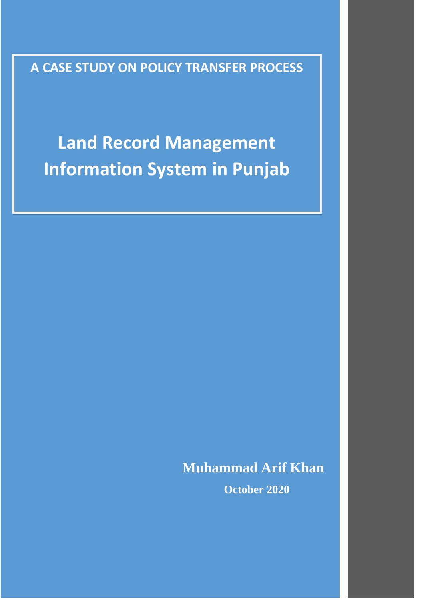**A CASE STUDY ON POLICY TRANSFER PROCESS**

**Land Record Management Information System in Punjab**

**Muhammad Arif Khan**

**October 2020**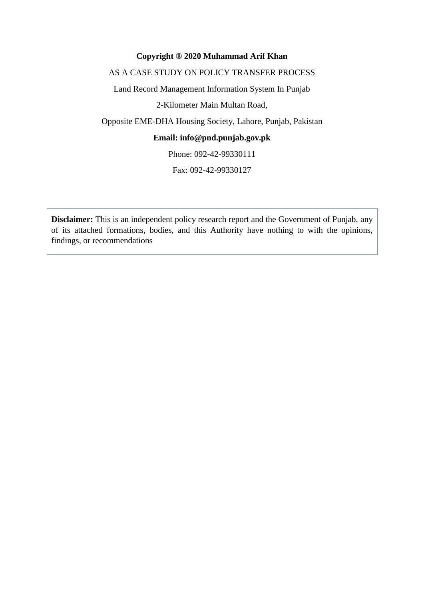#### **Copyright ® 2020 Muhammad Arif Khan**

#### AS A CASE STUDY ON POLICY TRANSFER PROCESS

Land Record Management Information System In Punjab

2-Kilometer Main Multan Road,

Opposite EME-DHA Housing Society, Lahore, Punjab, Pakistan

# **Email: info@pnd.punjab.gov.pk**

Phone: 092-42-99330111

Fax: 092-42-99330127

**Disclaimer:** This is an independent policy research report and the Government of Punjab, any of its attached formations, bodies, and this Authority have nothing to with the opinions, findings, or recommendations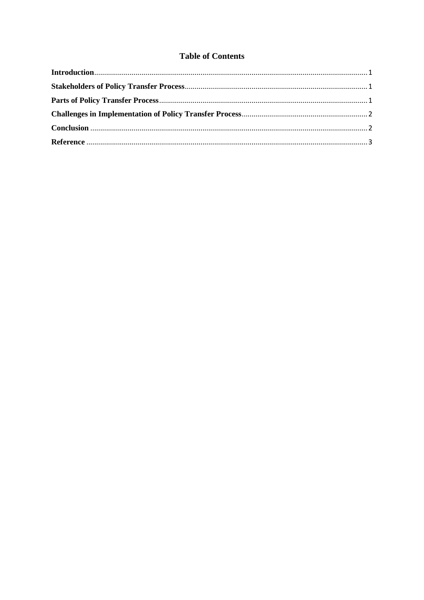# **Table of Contents**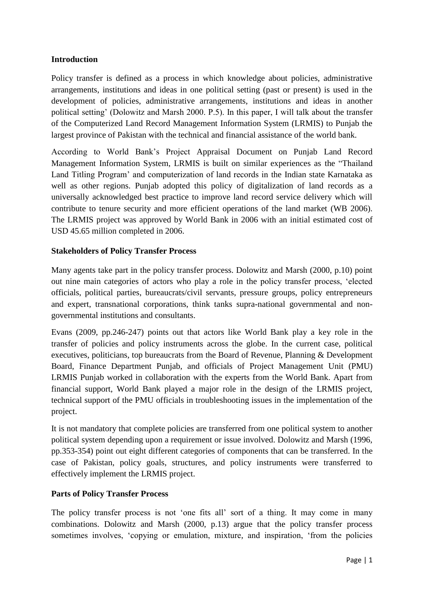#### <span id="page-3-0"></span>**Introduction**

Policy transfer is defined as a process in which knowledge about policies, administrative arrangements, institutions and ideas in one political setting (past or present) is used in the development of policies, administrative arrangements, institutions and ideas in another political setting' (Dolowitz and Marsh 2000. P.5). In this paper, I will talk about the transfer of the Computerized Land Record Management Information System (LRMIS) to Punjab the largest province of Pakistan with the technical and financial assistance of the world bank.

According to World Bank's Project Appraisal Document on Punjab Land Record Management Information System, LRMIS is built on similar experiences as the "Thailand Land Titling Program' and computerization of land records in the Indian state Karnataka as well as other regions. Punjab adopted this policy of digitalization of land records as a universally acknowledged best practice to improve land record service delivery which will contribute to tenure security and more efficient operations of the land market (WB 2006). The LRMIS project was approved by World Bank in 2006 with an initial estimated cost of USD 45.65 million completed in 2006.

## <span id="page-3-1"></span>**Stakeholders of Policy Transfer Process**

Many agents take part in the policy transfer process. Dolowitz and Marsh (2000, p.10) point out nine main categories of actors who play a role in the policy transfer process, 'elected officials, political parties, bureaucrats/civil servants, pressure groups, policy entrepreneurs and expert, transnational corporations, think tanks supra-national governmental and nongovernmental institutions and consultants.

Evans (2009, pp.246-247) points out that actors like World Bank play a key role in the transfer of policies and policy instruments across the globe. In the current case, political executives, politicians, top bureaucrats from the Board of Revenue, Planning & Development Board, Finance Department Punjab, and officials of Project Management Unit (PMU) LRMIS Punjab worked in collaboration with the experts from the World Bank. Apart from financial support, World Bank played a major role in the design of the LRMIS project, technical support of the PMU officials in troubleshooting issues in the implementation of the project.

It is not mandatory that complete policies are transferred from one political system to another political system depending upon a requirement or issue involved. Dolowitz and Marsh (1996, pp.353-354) point out eight different categories of components that can be transferred. In the case of Pakistan, policy goals, structures, and policy instruments were transferred to effectively implement the LRMIS project.

#### <span id="page-3-2"></span>**Parts of Policy Transfer Process**

The policy transfer process is not 'one fits all' sort of a thing. It may come in many combinations. Dolowitz and Marsh (2000, p.13) argue that the policy transfer process sometimes involves, 'copying or emulation, mixture, and inspiration, 'from the policies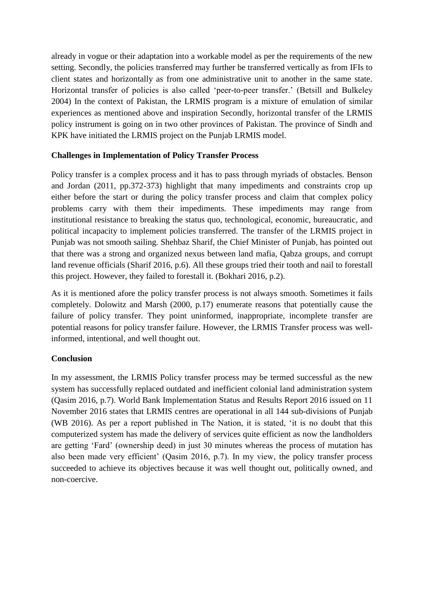already in vogue or their adaptation into a workable model as per the requirements of the new setting. Secondly, the policies transferred may further be transferred vertically as from IFIs to client states and horizontally as from one administrative unit to another in the same state. Horizontal transfer of policies is also called 'peer-to-peer transfer.' (Betsill and Bulkeley 2004) In the context of Pakistan, the LRMIS program is a mixture of emulation of similar experiences as mentioned above and inspiration Secondly, horizontal transfer of the LRMIS policy instrument is going on in two other provinces of Pakistan. The province of Sindh and KPK have initiated the LRMIS project on the Punjab LRMIS model.

## <span id="page-4-0"></span>**Challenges in Implementation of Policy Transfer Process**

Policy transfer is a complex process and it has to pass through myriads of obstacles. Benson and Jordan (2011, pp.372-373) highlight that many impediments and constraints crop up either before the start or during the policy transfer process and claim that complex policy problems carry with them their impediments. These impediments may range from institutional resistance to breaking the status quo, technological, economic, bureaucratic, and political incapacity to implement policies transferred. The transfer of the LRMIS project in Punjab was not smooth sailing. Shehbaz Sharif, the Chief Minister of Punjab, has pointed out that there was a strong and organized nexus between land mafia, Qabza groups, and corrupt land revenue officials (Sharif 2016, p.6). All these groups tried their tooth and nail to forestall this project. However, they failed to forestall it. (Bokhari 2016, p.2).

As it is mentioned afore the policy transfer process is not always smooth. Sometimes it fails completely. Dolowitz and Marsh (2000, p.17) enumerate reasons that potentially cause the failure of policy transfer. They point uninformed, inappropriate, incomplete transfer are potential reasons for policy transfer failure. However, the LRMIS Transfer process was wellinformed, intentional, and well thought out.

## <span id="page-4-1"></span>**Conclusion**

In my assessment, the LRMIS Policy transfer process may be termed successful as the new system has successfully replaced outdated and inefficient colonial land administration system (Qasim 2016, p.7). World Bank Implementation Status and Results Report 2016 issued on 11 November 2016 states that LRMIS centres are operational in all 144 sub-divisions of Punjab (WB 2016). As per a report published in The Nation, it is stated, 'it is no doubt that this computerized system has made the delivery of services quite efficient as now the landholders are getting 'Fard' (ownership deed) in just 30 minutes whereas the process of mutation has also been made very efficient' (Qasim 2016, p.7). In my view, the policy transfer process succeeded to achieve its objectives because it was well thought out, politically owned, and non-coercive.